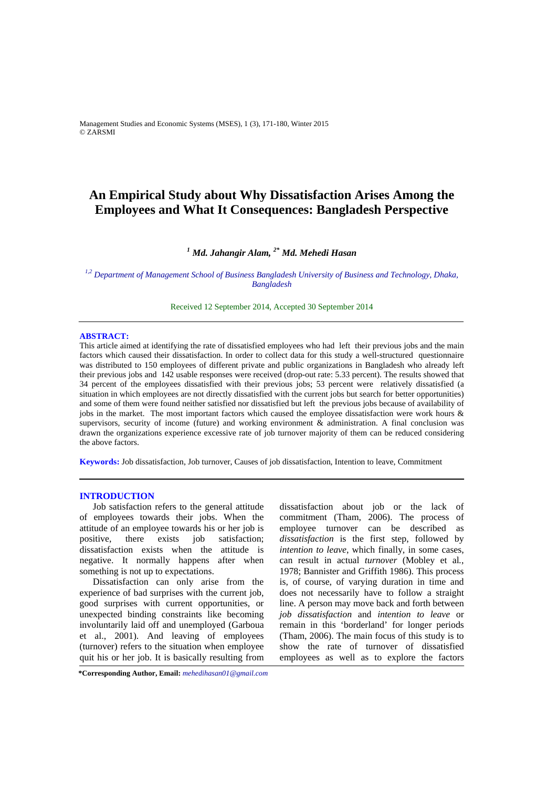Management Studies and Economic Systems (MSES), 1 (3), 171-180, Winter 2015 © ZARSMI

# **An Empirical Study about Why Dissatisfaction Arises Among the Employees and What It Consequences: Bangladesh Perspective**

# *<sup>1</sup> Md. Jahangir Alam, 2\* Md. Mehedi Hasan*

*1,2 Department of Management School of Business Bangladesh University of Business and Technology, Dhaka, Bangladesh* 

Received 12 September 2014, Accepted 30 September 2014

#### **ABSTRACT:**

This article aimed at identifying the rate of dissatisfied employees who had left their previous jobs and the main factors which caused their dissatisfaction. In order to collect data for this study a well-structured questionnaire was distributed to 150 employees of different private and public organizations in Bangladesh who already left their previous jobs and 142 usable responses were received (drop-out rate: 5.33 percent). The results showed that 34 percent of the employees dissatisfied with their previous jobs; 53 percent were relatively dissatisfied (a situation in which employees are not directly dissatisfied with the current jobs but search for better opportunities) and some of them were found neither satisfied nor dissatisfied but left the previous jobs because of availability of jobs in the market. The most important factors which caused the employee dissatisfaction were work hours & supervisors, security of income (future) and working environment & administration. A final conclusion was drawn the organizations experience excessive rate of job turnover majority of them can be reduced considering the above factors.

**Keywords:** Job dissatisfaction, Job turnover, Causes of job dissatisfaction, Intention to leave, Commitment

#### **INTRODUCTION**

Job satisfaction refers to the general attitude of employees towards their jobs. When the attitude of an employee towards his or her job is positive, there exists job satisfaction; dissatisfaction exists when the attitude is negative. It normally happens after when something is not up to expectations.

Dissatisfaction can only arise from the experience of bad surprises with the current job, good surprises with current opportunities, or unexpected binding constraints like becoming involuntarily laid off and unemployed (Garboua et al., 2001). And leaving of employees (turnover) refers to the situation when employee quit his or her job. It is basically resulting from dissatisfaction about job or the lack of commitment (Tham, 2006). The process of employee turnover can be described as *dissatisfaction* is the first step, followed by *intention to leave*, which finally, in some cases, can result in actual *turnover* (Mobley et al*.*, 1978; Bannister and Griffith 1986). This process is, of course, of varying duration in time and does not necessarily have to follow a straight line. A person may move back and forth between *job dissatisfaction* and *intention to leave* or remain in this 'borderland' for longer periods (Tham, 2006). The main focus of this study is to show the rate of turnover of dissatisfied employees as well as to explore the factors

**\*Corresponding Author, Email:** *mehedihasan01@gmail.com*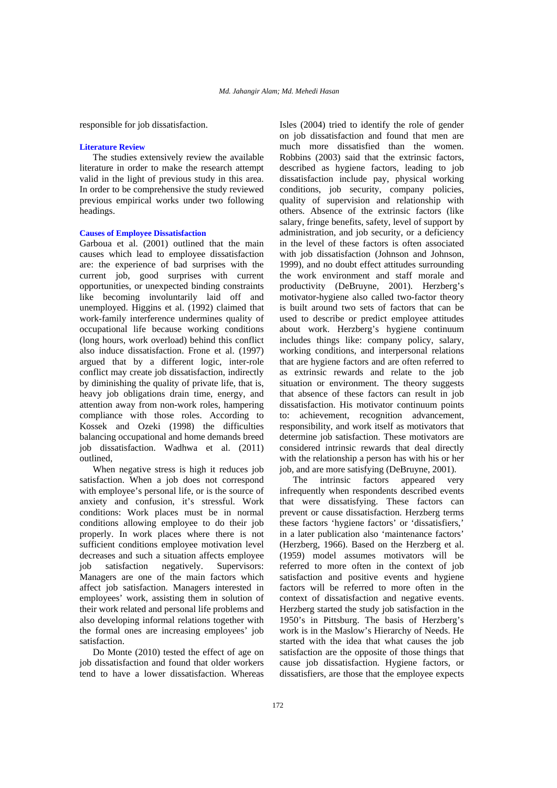responsible for job dissatisfaction.

#### **Literature Review**

The studies extensively review the available literature in order to make the research attempt valid in the light of previous study in this area. In order to be comprehensive the study reviewed previous empirical works under two following headings.

#### **Causes of Employee Dissatisfaction**

Garboua et al. (2001) outlined that the main causes which lead to employee dissatisfaction are: the experience of bad surprises with the current job, good surprises with current opportunities, or unexpected binding constraints like becoming involuntarily laid off and unemployed. Higgins et al. (1992) claimed that work-family interference undermines quality of occupational life because working conditions (long hours, work overload) behind this conflict also induce dissatisfaction. Frone et al. (1997) argued that by a different logic, inter-role conflict may create job dissatisfaction, indirectly by diminishing the quality of private life, that is, heavy job obligations drain time, energy, and attention away from non-work roles, hampering compliance with those roles. According to Kossek and Ozeki (1998) the difficulties balancing occupational and home demands breed job dissatisfaction. Wadhwa et al. (2011) outlined,

When negative stress is high it reduces job satisfaction. When a job does not correspond with employee's personal life, or is the source of anxiety and confusion, it's stressful. Work conditions: Work places must be in normal conditions allowing employee to do their job properly. In work places where there is not sufficient conditions employee motivation level decreases and such a situation affects employee job satisfaction negatively. Supervisors: Managers are one of the main factors which affect job satisfaction. Managers interested in employees' work, assisting them in solution of their work related and personal life problems and also developing informal relations together with the formal ones are increasing employees' job satisfaction.

Do Monte (2010) tested the effect of age on job dissatisfaction and found that older workers tend to have a lower dissatisfaction. Whereas

Isles (2004) tried to identify the role of gender on job dissatisfaction and found that men are much more dissatisfied than the women. Robbins (2003) said that the extrinsic factors, described as hygiene factors, leading to job dissatisfaction include pay, physical working conditions, job security, company policies, quality of supervision and relationship with others. Absence of the extrinsic factors (like salary, fringe benefits, safety, level of support by administration, and job security, or a deficiency in the level of these factors is often associated with job dissatisfaction (Johnson and Johnson, 1999), and no doubt effect attitudes surrounding the work environment and staff morale and productivity (DeBruyne, 2001). Herzberg's motivator-hygiene also called two-factor theory is built around two sets of factors that can be used to describe or predict employee attitudes about work. Herzberg's hygiene continuum includes things like: company policy, salary, working conditions, and interpersonal relations that are hygiene factors and are often referred to as extrinsic rewards and relate to the job situation or environment. The theory suggests that absence of these factors can result in job dissatisfaction. His motivator continuum points to: achievement, recognition advancement, responsibility, and work itself as motivators that determine job satisfaction. These motivators are considered intrinsic rewards that deal directly with the relationship a person has with his or her job, and are more satisfying (DeBruyne, 2001).

The intrinsic factors appeared very infrequently when respondents described events that were dissatisfying. These factors can prevent or cause dissatisfaction. Herzberg terms these factors 'hygiene factors' or 'dissatisfiers,' in a later publication also 'maintenance factors' (Herzberg, 1966). Based on the Herzberg et al. (1959) model assumes motivators will be referred to more often in the context of job satisfaction and positive events and hygiene factors will be referred to more often in the context of dissatisfaction and negative events. Herzberg started the study job satisfaction in the 1950's in Pittsburg. The basis of Herzberg's work is in the Maslow's Hierarchy of Needs. He started with the idea that what causes the job satisfaction are the opposite of those things that cause job dissatisfaction. Hygiene factors, or dissatisfiers, are those that the employee expects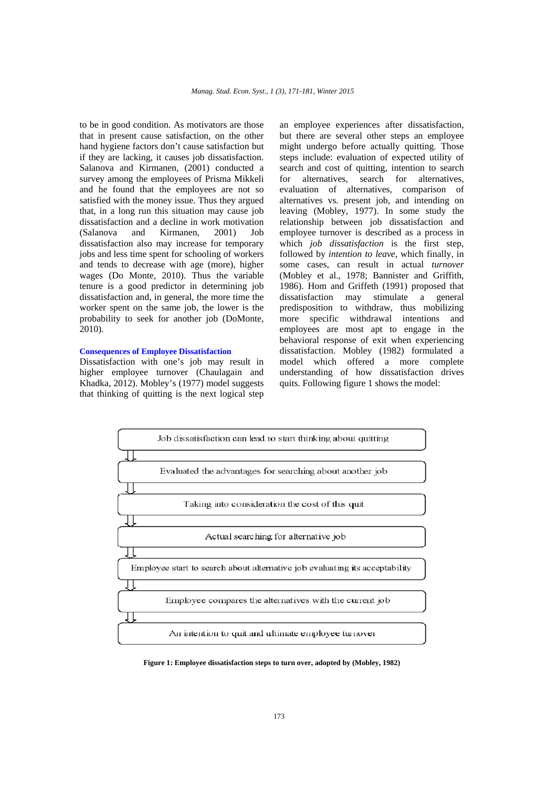to be in good condition. As motivators are those that in present cause satisfaction, on the other hand hygiene factors don't cause satisfaction but if they are lacking, it causes job dissatisfaction. Salanova and Kirmanen, (2001) conducted a survey among the employees of Prisma Mikkeli and he found that the employees are not so satisfied with the money issue. Thus they argued that, in a long run this situation may cause job dissatisfaction and a decline in work motivation (Salanova and Kirmanen, 2001) Job dissatisfaction also may increase for temporary jobs and less time spent for schooling of workers and tends to decrease with age (more), higher wages (Do Monte, 2010). Thus the variable tenure is a good predictor in determining job dissatisfaction and, in general, the more time the worker spent on the same job, the lower is the probability to seek for another job (DoMonte, 2010).

#### **Consequences of Employee Dissatisfaction**

Dissatisfaction with one's job may result in higher employee turnover (Chaulagain and Khadka, 2012). Mobley's (1977) model suggests that thinking of quitting is the next logical step

an employee experiences after dissatisfaction, but there are several other steps an employee might undergo before actually quitting. Those steps include: evaluation of expected utility of search and cost of quitting, intention to search for alternatives, search for alternatives, evaluation of alternatives, comparison of alternatives vs. present job, and intending on leaving (Mobley, 1977). In some study the relationship between job dissatisfaction and employee turnover is described as a process in which *job dissatisfaction* is the first step, followed by *intention to leave*, which finally, in some cases, can result in actual *turnover*  (Mobley et al., 1978; Bannister and Griffith, 1986). Hom and Griffeth (1991) proposed that dissatisfaction may stimulate a general predisposition to withdraw, thus mobilizing more specific withdrawal intentions and employees are most apt to engage in the behavioral response of exit when experiencing dissatisfaction. Mobley (1982) formulated a model which offered a more complete understanding of how dissatisfaction drives quits. Following figure 1 shows the model:



**Figure 1: Employee dissatisfaction steps to turn over, adopted by (Mobley, 1982)**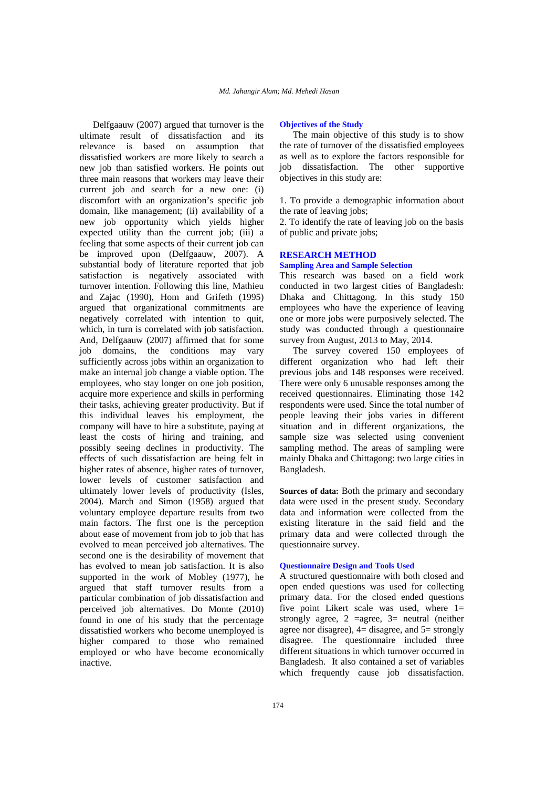Delfgaauw (2007) argued that turnover is the ultimate result of dissatisfaction and its relevance is based on assumption that dissatisfied workers are more likely to search a new job than satisfied workers. He points out three main reasons that workers may leave their current job and search for a new one: (i) discomfort with an organization's specific job domain, like management; (ii) availability of a new job opportunity which yields higher expected utility than the current job; (iii) a feeling that some aspects of their current job can be improved upon (Delfgaauw, 2007). A substantial body of literature reported that job satisfaction is negatively associated with turnover intention. Following this line, Mathieu and Zajac (1990), Hom and Grifeth (1995) argued that organizational commitments are negatively correlated with intention to quit, which, in turn is correlated with job satisfaction. And, Delfgaauw (2007) affirmed that for some job domains, the conditions may vary sufficiently across jobs within an organization to make an internal job change a viable option. The employees, who stay longer on one job position, acquire more experience and skills in performing their tasks, achieving greater productivity. But if this individual leaves his employment, the company will have to hire a substitute, paying at least the costs of hiring and training, and possibly seeing declines in productivity. The effects of such dissatisfaction are being felt in higher rates of absence, higher rates of turnover, lower levels of customer satisfaction and ultimately lower levels of productivity (Isles, 2004). March and Simon (1958) argued that voluntary employee departure results from two main factors. The first one is the perception about ease of movement from job to job that has evolved to mean perceived job alternatives. The second one is the desirability of movement that has evolved to mean job satisfaction. It is also supported in the work of Mobley (1977), he argued that staff turnover results from a particular combination of job dissatisfaction and perceived job alternatives. Do Monte (2010) found in one of his study that the percentage dissatisfied workers who become unemployed is higher compared to those who remained employed or who have become economically inactive.

#### **Objectives of the Study**

The main objective of this study is to show the rate of turnover of the dissatisfied employees as well as to explore the factors responsible for job dissatisfaction. The other supportive objectives in this study are:

1. To provide a demographic information about the rate of leaving jobs;

2. To identify the rate of leaving job on the basis of public and private jobs;

## **RESEARCH METHOD**

### **Sampling Area and Sample Selection**

This research was based on a field work conducted in two largest cities of Bangladesh: Dhaka and Chittagong. In this study 150 employees who have the experience of leaving one or more jobs were purposively selected. The study was conducted through a questionnaire survey from August, 2013 to May, 2014.

The survey covered 150 employees of different organization who had left their previous jobs and 148 responses were received. There were only 6 unusable responses among the received questionnaires. Eliminating those 142 respondents were used. Since the total number of people leaving their jobs varies in different situation and in different organizations, the sample size was selected using convenient sampling method. The areas of sampling were mainly Dhaka and Chittagong: two large cities in Bangladesh.

**Sources of data:** Both the primary and secondary data were used in the present study. Secondary data and information were collected from the existing literature in the said field and the primary data and were collected through the questionnaire survey.

#### **Questionnaire Design and Tools Used**

A structured questionnaire with both closed and open ended questions was used for collecting primary data. For the closed ended questions five point Likert scale was used, where 1= strongly agree,  $2 = \text{agree}$ ,  $3 = \text{neutral}$  (neither agree nor disagree), 4= disagree, and 5= strongly disagree. The questionnaire included three different situations in which turnover occurred in Bangladesh. It also contained a set of variables which frequently cause job dissatisfaction.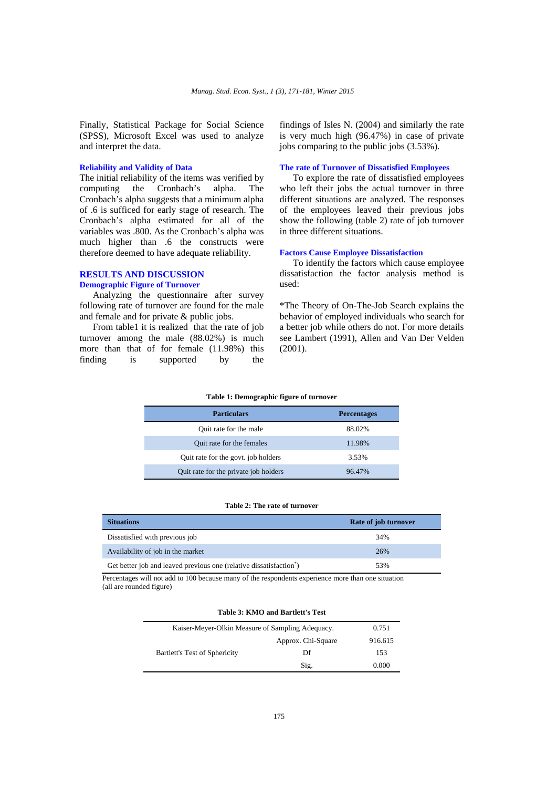Finally, Statistical Package for Social Science (SPSS), Microsoft Excel was used to analyze and interpret the data.

#### **Reliability and Validity of Data**

The initial reliability of the items was verified by computing the Cronbach's alpha. The Cronbach's alpha suggests that a minimum alpha of .6 is sufficed for early stage of research. The Cronbach's alpha estimated for all of the variables was .800. As the Cronbach's alpha was much higher than .6 the constructs were therefore deemed to have adequate reliability.

# **RESULTS AND DISCUSSION**

# **Demographic Figure of Turnover**

Analyzing the questionnaire after survey following rate of turnover are found for the male and female and for private & public jobs.

From table1 it is realized that the rate of job turnover among the male (88.02%) is much more than that of for female (11.98%) this finding is supported by the findings of Isles N. (2004) and similarly the rate is very much high (96.47%) in case of private jobs comparing to the public jobs (3.53%).

#### **The rate of Turnover of Dissatisfied Employees**

To explore the rate of dissatisfied employees who left their jobs the actual turnover in three different situations are analyzed. The responses of the employees leaved their previous jobs show the following (table 2) rate of job turnover in three different situations.

#### **Factors Cause Employee Dissatisfaction**

To identify the factors which cause employee dissatisfaction the factor analysis method is used:

\*The Theory of On-The-Job Search explains the behavior of employed individuals who search for a better job while others do not. For more details see Lambert (1991), Allen and Van Der Velden (2001).

#### **Table 1: Demographic figure of turnover**

| <b>Particulars</b>                    | <b>Percentages</b> |
|---------------------------------------|--------------------|
| Quit rate for the male                | 88.02%             |
| Quit rate for the females             | 11.98%             |
| Quit rate for the govt. job holders   | 3.53%              |
| Quit rate for the private job holders | 96.47%             |

#### **Table 2: The rate of turnover**

| <b>Situations</b>                                                 | Rate of job turnover |
|-------------------------------------------------------------------|----------------------|
| Dissatisfied with previous job                                    | 34%                  |
| Availability of job in the market                                 | 26%                  |
| Get better job and leaved previous one (relative dissatisfaction) | 53%                  |

 Percentages will not add to 100 because many of the respondents experience more than one situation (all are rounded figure)

| Kaiser-Meyer-Olkin Measure of Sampling Adequacy. |                    | 0.751   |
|--------------------------------------------------|--------------------|---------|
|                                                  | Approx. Chi-Square | 916.615 |
| Bartlett's Test of Sphericity                    | Df                 | 153     |
|                                                  | Sig.               | 0.000   |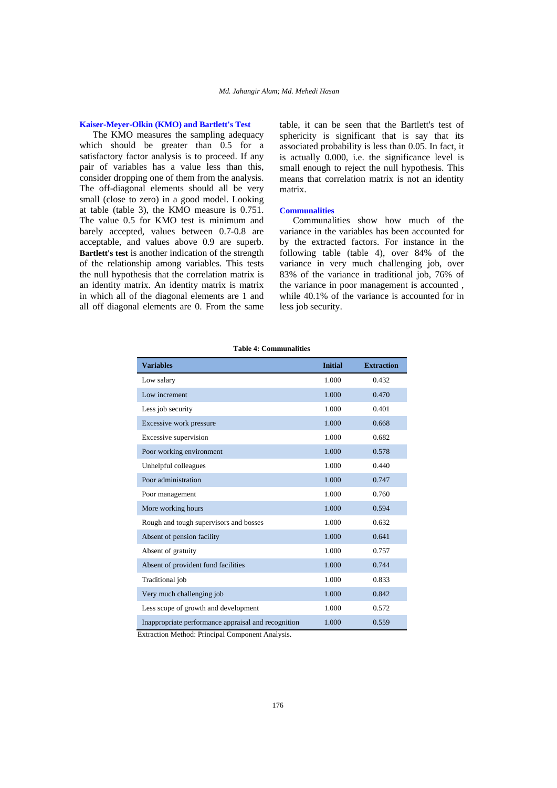#### **Kaiser-Meyer-Olkin (KMO) and Bartlett's Test**

The KMO measures the sampling adequacy which should be greater than 0.5 for a satisfactory factor analysis is to proceed. If any pair of variables has a value less than this, consider dropping one of them from the analysis. The off-diagonal elements should all be very small (close to zero) in a good model. Looking at table (table 3), the KMO measure is 0.751. The value 0.5 for KMO test is minimum and barely accepted, values between 0.7-0.8 are acceptable, and values above 0.9 are superb. **Bartlett's test** is another indication of the strength of the relationship among variables. This tests the null hypothesis that the correlation matrix is an identity matrix. An identity matrix is matrix in which all of the diagonal elements are 1 and all off diagonal elements are 0. From the same

table, it can be seen that the Bartlett's test of sphericity is significant that is say that its associated probability is less than 0.05. In fact, it is actually 0.000, i.e. the significance level is small enough to reject the null hypothesis. This means that correlation matrix is not an identity matrix.

### **Communalities**

Communalities show how much of the variance in the variables has been accounted for by the extracted factors. For instance in the following table (table 4), over 84% of the variance in very much challenging job, over 83% of the variance in traditional job, 76% of the variance in poor management is accounted , while 40.1% of the variance is accounted for in less job security.

| <b>Variables</b>                                    | <b>Initial</b> | <b>Extraction</b> |
|-----------------------------------------------------|----------------|-------------------|
| Low salary                                          | 1.000          | 0.432             |
| Low increment                                       | 1.000          | 0.470             |
| Less job security                                   | 1.000          | 0.401             |
| Excessive work pressure                             | 1.000          | 0.668             |
| Excessive supervision                               | 1.000          | 0.682             |
| Poor working environment                            | 1.000          | 0.578             |
| Unhelpful colleagues                                | 1.000          | 0.440             |
| Poor administration                                 | 1.000          | 0.747             |
| Poor management                                     | 1.000          | 0.760             |
| More working hours                                  | 1.000          | 0.594             |
| Rough and tough supervisors and bosses              | 1.000          | 0.632             |
| Absent of pension facility                          | 1.000          | 0.641             |
| Absent of gratuity                                  | 1.000          | 0.757             |
| Absent of provident fund facilities                 | 1.000          | 0.744             |
| Traditional job                                     | 1.000          | 0.833             |
| Very much challenging job                           | 1.000          | 0.842             |
| Less scope of growth and development                | 1.000          | 0.572             |
| Inappropriate performance appraisal and recognition | 1.000          | 0.559             |

**Table 4: Communalities** 

Extraction Method: Principal Component Analysis.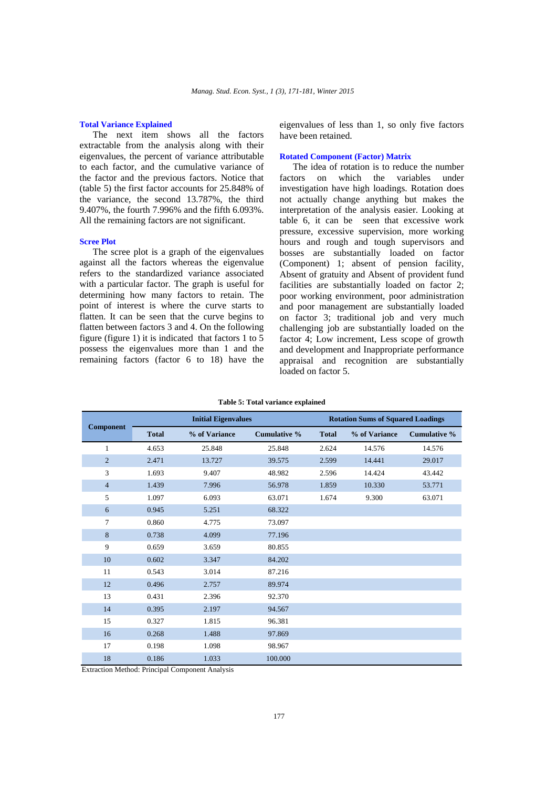#### **Total Variance Explained**

The next item shows all the factors extractable from the analysis along with their eigenvalues, the percent of variance attributable to each factor, and the cumulative variance of the factor and the previous factors. Notice that (table 5) the first factor accounts for 25.848% of the variance, the second 13.787%, the third 9.407%, the fourth 7.996% and the fifth 6.093%. All the remaining factors are not significant.

#### **Scree Plot**

The scree plot is a graph of the eigenvalues against all the factors whereas the eigenvalue refers to the standardized variance associated with a particular factor. The graph is useful for determining how many factors to retain. The point of interest is where the curve starts to flatten. It can be seen that the curve begins to flatten between factors 3 and 4. On the following figure (figure 1) it is indicated that factors  $1$  to  $5$ possess the eigenvalues more than 1 and the remaining factors (factor 6 to 18) have the

eigenvalues of less than 1, so only five factors have been retained.

#### **Rotated Component (Factor) Matrix**

The idea of rotation is to reduce the number factors on which the variables under investigation have high loadings. Rotation does not actually change anything but makes the interpretation of the analysis easier. Looking at table 6, it can be seen that excessive work pressure, excessive supervision, more working hours and rough and tough supervisors and bosses are substantially loaded on factor (Component) 1; absent of pension facility, Absent of gratuity and Absent of provident fund facilities are substantially loaded on factor 2; poor working environment, poor administration and poor management are substantially loaded on factor 3; traditional job and very much challenging job are substantially loaded on the factor 4; Low increment, Less scope of growth and development and Inappropriate performance appraisal and recognition are substantially loaded on factor 5.

|                  | <b>Initial Eigenvalues</b> |               |                     | <b>Rotation Sums of Squared Loadings</b> |               |                     |
|------------------|----------------------------|---------------|---------------------|------------------------------------------|---------------|---------------------|
| <b>Component</b> | <b>Total</b>               | % of Variance | <b>Cumulative %</b> | <b>Total</b>                             | % of Variance | <b>Cumulative %</b> |
| $\mathbf{1}$     | 4.653                      | 25.848        | 25.848              | 2.624                                    | 14.576        | 14.576              |
| $\overline{2}$   | 2.471                      | 13.727        | 39.575              | 2.599                                    | 14.441        | 29.017              |
| 3                | 1.693                      | 9.407         | 48.982              | 2.596                                    | 14.424        | 43.442              |
| $\overline{4}$   | 1.439                      | 7.996         | 56.978              | 1.859                                    | 10.330        | 53.771              |
| 5                | 1.097                      | 6.093         | 63.071              | 1.674                                    | 9.300         | 63.071              |
| 6                | 0.945                      | 5.251         | 68.322              |                                          |               |                     |
| 7                | 0.860                      | 4.775         | 73.097              |                                          |               |                     |
| 8                | 0.738                      | 4.099         | 77.196              |                                          |               |                     |
| 9                | 0.659                      | 3.659         | 80.855              |                                          |               |                     |
| 10               | 0.602                      | 3.347         | 84.202              |                                          |               |                     |
| 11               | 0.543                      | 3.014         | 87.216              |                                          |               |                     |
| 12               | 0.496                      | 2.757         | 89.974              |                                          |               |                     |
| 13               | 0.431                      | 2.396         | 92.370              |                                          |               |                     |
| 14               | 0.395                      | 2.197         | 94.567              |                                          |               |                     |
| 15               | 0.327                      | 1.815         | 96.381              |                                          |               |                     |
| 16               | 0.268                      | 1.488         | 97.869              |                                          |               |                     |
| 17               | 0.198                      | 1.098         | 98.967              |                                          |               |                     |
| 18               | 0.186                      | 1.033         | 100.000             |                                          |               |                     |

#### **Table 5: Total variance explained**

Extraction Method: Principal Component Analysis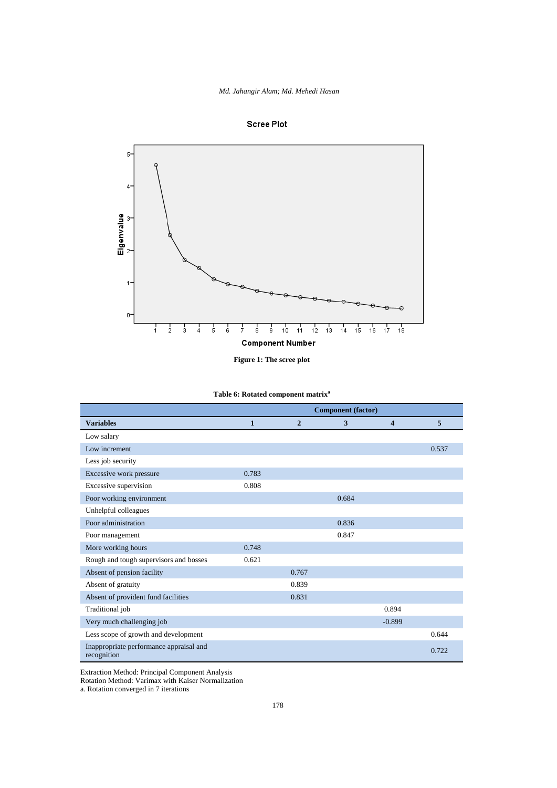*Md. Jahangir Alam; Md. Mehedi Hasan*





**Table 6: Rotated component matrix<sup>a</sup>**

|                                                        | <b>Component</b> (factor) |                |       |                     |       |
|--------------------------------------------------------|---------------------------|----------------|-------|---------------------|-------|
| <b>Variables</b>                                       | $\mathbf{1}$              | $\overline{2}$ | 3     | $\overline{\bf{4}}$ | 5     |
| Low salary                                             |                           |                |       |                     |       |
| Low increment                                          |                           |                |       |                     | 0.537 |
| Less job security                                      |                           |                |       |                     |       |
| Excessive work pressure                                | 0.783                     |                |       |                     |       |
| Excessive supervision                                  | 0.808                     |                |       |                     |       |
| Poor working environment                               |                           |                | 0.684 |                     |       |
| Unhelpful colleagues                                   |                           |                |       |                     |       |
| Poor administration                                    |                           |                | 0.836 |                     |       |
| Poor management                                        |                           |                | 0.847 |                     |       |
| More working hours                                     | 0.748                     |                |       |                     |       |
| Rough and tough supervisors and bosses                 | 0.621                     |                |       |                     |       |
| Absent of pension facility                             |                           | 0.767          |       |                     |       |
| Absent of gratuity                                     |                           | 0.839          |       |                     |       |
| Absent of provident fund facilities                    |                           | 0.831          |       |                     |       |
| Traditional job                                        |                           |                |       | 0.894               |       |
| Very much challenging job                              |                           |                |       | $-0.899$            |       |
| Less scope of growth and development                   |                           |                |       |                     | 0.644 |
| Inappropriate performance appraisal and<br>recognition |                           |                |       |                     | 0.722 |

Extraction Method: Principal Component Analysis

Rotation Method: Varimax with Kaiser Normalization

a. Rotation converged in 7 iterations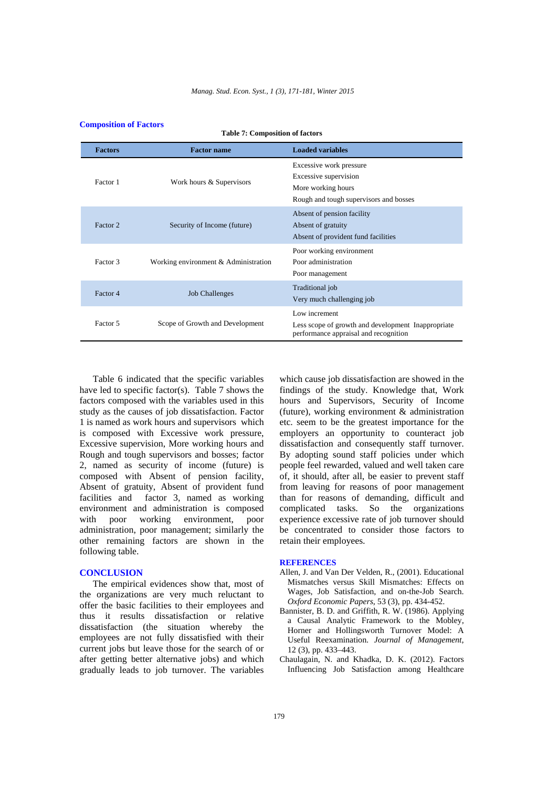**Table 7: Composition of factors** 

| <b>Factors</b> | <b>Factor name</b>                   | <b>Loaded variables</b>                                                                                          |  |
|----------------|--------------------------------------|------------------------------------------------------------------------------------------------------------------|--|
| Factor 1       | Work hours & Supervisors             | Excessive work pressure<br>Excessive supervision<br>More working hours<br>Rough and tough supervisors and bosses |  |
| Factor 2       | Security of Income (future)          | Absent of pension facility<br>Absent of gratuity<br>Absent of provident fund facilities                          |  |
| Factor 3       | Working environment & Administration | Poor working environment<br>Poor administration<br>Poor management                                               |  |
| Factor 4       | <b>Job Challenges</b>                | Traditional job<br>Very much challenging job                                                                     |  |
| Factor 5       | Scope of Growth and Development      | Low increment<br>Less scope of growth and development Inappropriate<br>performance appraisal and recognition     |  |

## **Composition of Factors**

Table 6 indicated that the specific variables have led to specific factor(s). Table 7 shows the factors composed with the variables used in this study as the causes of job dissatisfaction. Factor 1 is named as work hours and supervisors which is composed with Excessive work pressure, Excessive supervision, More working hours and Rough and tough supervisors and bosses; factor 2, named as security of income (future) is composed with Absent of pension facility, Absent of gratuity, Absent of provident fund facilities and factor 3, named as working environment and administration is composed with poor working environment, poor administration, poor management; similarly the other remaining factors are shown in the following table.

#### **CONCLUSION**

The empirical evidences show that, most of the organizations are very much reluctant to offer the basic facilities to their employees and thus it results dissatisfaction or relative dissatisfaction (the situation whereby the employees are not fully dissatisfied with their current jobs but leave those for the search of or after getting better alternative jobs) and which gradually leads to job turnover. The variables

which cause job dissatisfaction are showed in the findings of the study. Knowledge that, Work hours and Supervisors, Security of Income (future), working environment & administration etc. seem to be the greatest importance for the employers an opportunity to counteract job dissatisfaction and consequently staff turnover. By adopting sound staff policies under which people feel rewarded, valued and well taken care of, it should, after all, be easier to prevent staff from leaving for reasons of poor management than for reasons of demanding, difficult and complicated tasks. So the organizations experience excessive rate of job turnover should be concentrated to consider those factors to retain their employees.

#### **REFERENCES**

- Allen, J. and Van Der Velden, R., (2001). Educational Mismatches versus Skill Mismatches: Effects on Wages, Job Satisfaction, and on-the-Job Search. *Oxford Economic Papers*, 53 (3), pp. 434-452.
- Bannister, B. D. and Griffith, R. W. (1986). Applying a Causal Analytic Framework to the Mobley, Horner and Hollingsworth Turnover Model: A Useful Reexamination. *Journal of Management*, 12 (3), pp. 433–443.
- Chaulagain, N. and Khadka, D. K. (2012). Factors Influencing Job Satisfaction among Healthcare